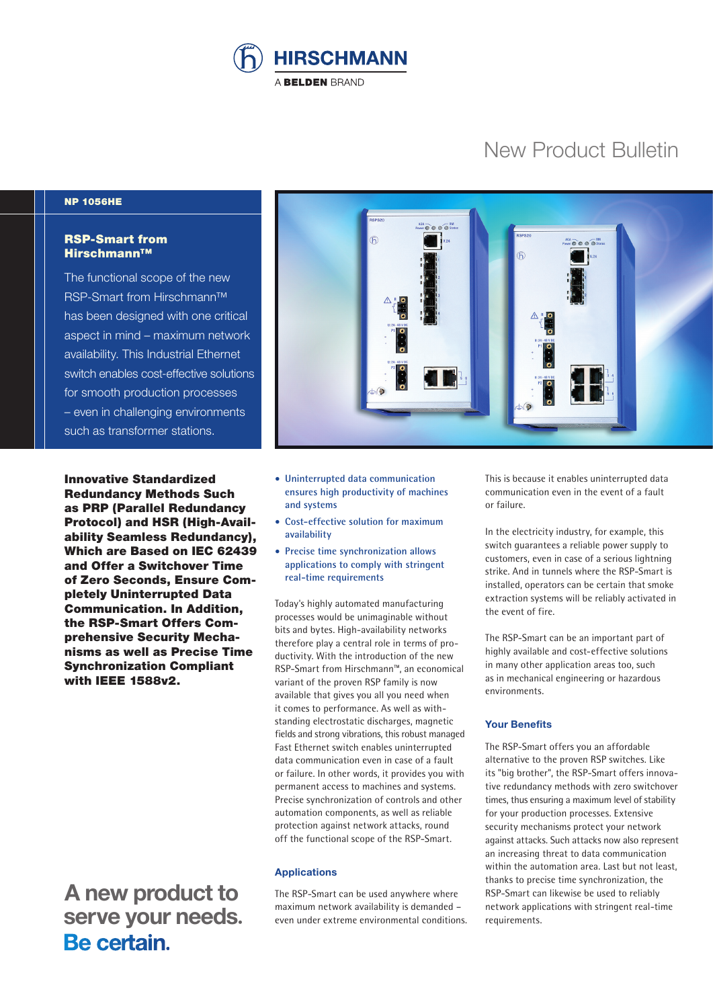

# New Product Bulletin

### NP 1056HE

## RSP-Smart from Hirschmann™

The functional scope of the new RSP-Smart from Hirschmann™ has been designed with one critical aspect in mind – maximum network availability. This Industrial Ethernet switch enables cost-effective solutions for smooth production processes – even in challenging environments such as transformer stations.

Innovative Standardized Redundancy Methods Such as PRP (Parallel Redundancy Protocol) and HSR (High-Availability Seamless Redundancy), Which are Based on IEC 62439 and Offer a Switchover Time of Zero Seconds, Ensure Completely Uninterrupted Data Communication. In Addition, the RSP-Smart Offers Comprehensive Security Mechanisms as well as Precise Time Synchronization Compliant with IEEE 1588v2.

 **A new product to** serve your needs.<br>**Be certain**.



- **Uninterrupted data communication ensures high productivity of machines and systems**
- **Cost-effective solution for maximum availability**
- **Precise time synchronization allows applications to comply with stringent real-time requirements**

Today's highly automated manufacturing processes would be unimaginable without bits and bytes. High-availability networks therefore play a central role in terms of productivity. With the introduction of the new RSP-Smart from Hirschmann™, an economical variant of the proven RSP family is now available that gives you all you need when it comes to performance. As well as withstanding electrostatic discharges, magnetic fields and strong vibrations, this robust managed Fast Ethernet switch enables uninterrupted data communication even in case of a fault or failure. In other words, it provides you with permanent access to machines and systems. Precise synchronization of controls and other automation components, as well as reliable protection against network attacks, round off the functional scope of the RSP-Smart.

#### **Applications**

The RSP-Smart can be used anywhere where maximum network availability is demanded – even under extreme environmental conditions. This is because it enables uninterrupted data communication even in the event of a fault or failure.

In the electricity industry, for example, this switch guarantees a reliable power supply to customers, even in case of a serious lightning strike. And in tunnels where the RSP-Smart is installed, operators can be certain that smoke extraction systems will be reliably activated in the event of fire.

The RSP-Smart can be an important part of highly available and cost-effective solutions in many other application areas too, such as in mechanical engineering or hazardous environments.

#### **Your Benefits**

The RSP-Smart offers you an affordable alternative to the proven RSP switches. Like its "big brother", the RSP-Smart offers innovative redundancy methods with zero switchover times, thus ensuring a maximum level of stability for your production processes. Extensive security mechanisms protect your network against attacks. Such attacks now also represent an increasing threat to data communication within the automation area. Last but not least, thanks to precise time synchronization, the RSP-Smart can likewise be used to reliably network applications with stringent real-time requirements.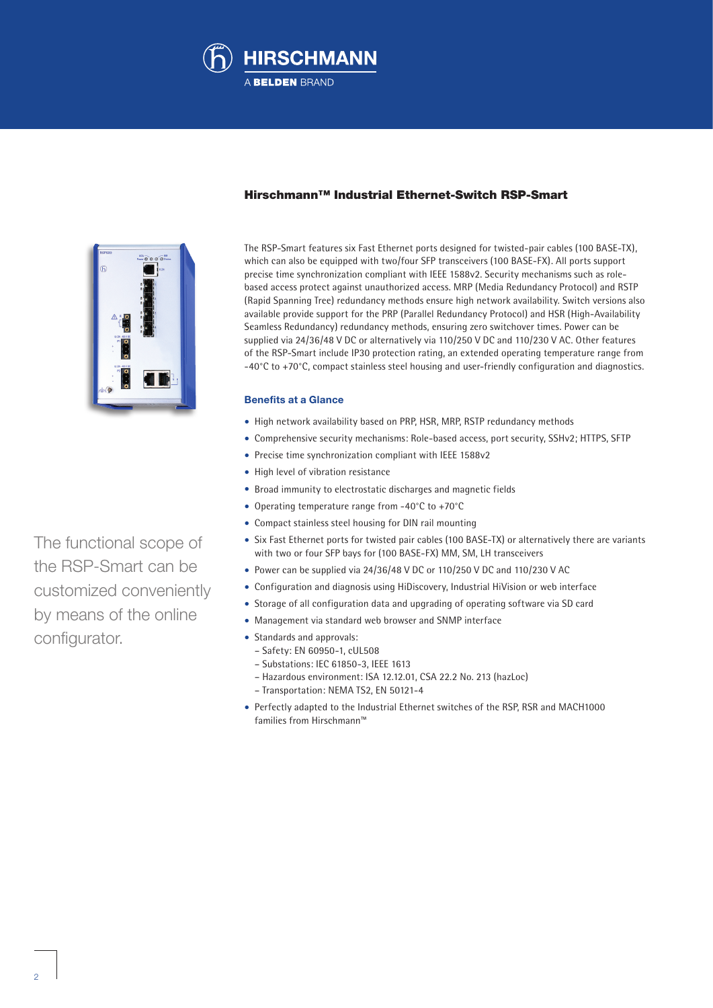



## Hirschmann™ Industrial Ethernet-Switch RSP-Smart

The RSP-Smart features six Fast Ethernet ports designed for twisted-pair cables (100 BASE-TX), which can also be equipped with two/four SFP transceivers (100 BASE-FX). All ports support precise time synchronization compliant with IEEE 1588v2. Security mechanisms such as rolebased access protect against unauthorized access. MRP (Media Redundancy Protocol) and RSTP (Rapid Spanning Tree) redundancy methods ensure high network availability. Switch versions also available provide support for the PRP (Parallel Redundancy Protocol) and HSR (High-Availability Seamless Redundancy) redundancy methods, ensuring zero switchover times. Power can be supplied via 24/36/48 V DC or alternatively via 110/250 V DC and 110/230 V AC. Other features of the RSP-Smart include IP30 protection rating, an extended operating temperature range from -40°C to +70°C, compact stainless steel housing and user-friendly configuration and diagnostics.

#### **Benefits at a Glance**

- High network availability based on PRP, HSR, MRP, RSTP redundancy methods
- Comprehensive security mechanisms: Role-based access, port security, SSHv2; HTTPS, SFTP
- Precise time synchronization compliant with IEEE 1588v2
- High level of vibration resistance
- Broad immunity to electrostatic discharges and magnetic fields
- Operating temperature range from -40°C to +70°C
- Compact stainless steel housing for DIN rail mounting
- Six Fast Ethernet ports for twisted pair cables (100 BASE-TX) or alternatively there are variants with two or four SFP bays for (100 BASE-FX) MM, SM, LH transceivers
- Power can be supplied via 24/36/48 V DC or 110/250 V DC and 110/230 V AC
- Configuration and diagnosis using HiDiscovery, Industrial HiVision or web interface
- Storage of all configuration data and upgrading of operating software via SD card
- Management via standard web browser and SNMP interface
- Standards and approvals:
	- Safety: EN 60950-1, cUL508
	- Substations: IEC 61850-3, IEEE 1613
	- Hazardous environment: ISA 12.12.01, CSA 22.2 No. 213 (hazLoc)
	- Transportation: NEMA TS2, EN 50121-4
- Perfectly adapted to the Industrial Ethernet switches of the RSP, RSR and MACH1000 families from Hirschmann™

The functional scope of the RSP-Smart can be customized conveniently by means of the online configurator.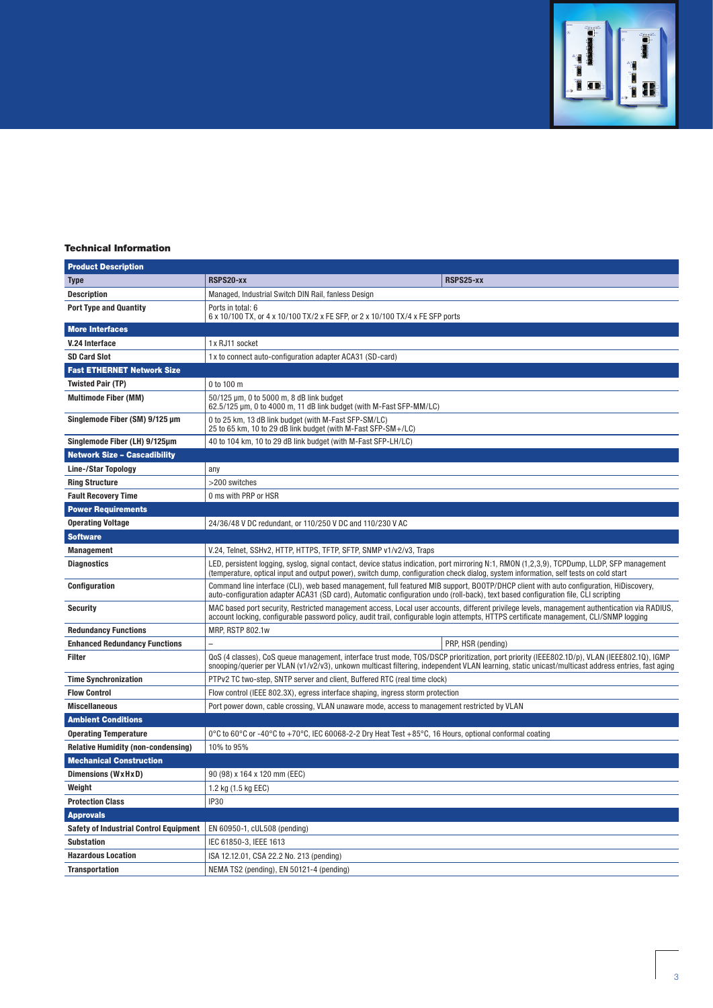

## Technical Information

| <b>Product Description</b>                    |                                                                                                                                                                                                                                                                                                  |                    |
|-----------------------------------------------|--------------------------------------------------------------------------------------------------------------------------------------------------------------------------------------------------------------------------------------------------------------------------------------------------|--------------------|
| <b>Type</b>                                   | RSPS20-xx                                                                                                                                                                                                                                                                                        | RSPS25-xx          |
| <b>Description</b>                            | Managed, Industrial Switch DIN Rail, fanless Design                                                                                                                                                                                                                                              |                    |
| <b>Port Type and Quantity</b>                 | Ports in total: 6<br>6 x 10/100 TX, or 4 x 10/100 TX/2 x FE SFP, or 2 x 10/100 TX/4 x FE SFP ports                                                                                                                                                                                               |                    |
| <b>More Interfaces</b>                        |                                                                                                                                                                                                                                                                                                  |                    |
| V.24 Interface                                | 1x RJ11 socket                                                                                                                                                                                                                                                                                   |                    |
| <b>SD Card Slot</b>                           | 1x to connect auto-configuration adapter ACA31 (SD-card)                                                                                                                                                                                                                                         |                    |
| <b>Fast ETHERNET Network Size</b>             |                                                                                                                                                                                                                                                                                                  |                    |
| <b>Twisted Pair (TP)</b>                      | 0 to 100 m                                                                                                                                                                                                                                                                                       |                    |
| <b>Multimode Fiber (MM)</b>                   | 50/125 µm, 0 to 5000 m, 8 dB link budget<br>62.5/125 µm, 0 to 4000 m, 11 dB link budget (with M-Fast SFP-MM/LC)                                                                                                                                                                                  |                    |
| Singlemode Fiber (SM) 9/125 µm                | 0 to 25 km, 13 dB link budget (with M-Fast SFP-SM/LC)<br>25 to 65 km, 10 to 29 dB link budget (with M-Fast SFP-SM+/LC)                                                                                                                                                                           |                    |
| Singlemode Fiber (LH) 9/125µm                 | 40 to 104 km, 10 to 29 dB link budget (with M-Fast SFP-LH/LC)                                                                                                                                                                                                                                    |                    |
| <b>Network Size - Cascadibility</b>           |                                                                                                                                                                                                                                                                                                  |                    |
| <b>Line-/Star Topology</b>                    | any                                                                                                                                                                                                                                                                                              |                    |
| <b>Ring Structure</b>                         | >200 switches                                                                                                                                                                                                                                                                                    |                    |
| <b>Fault Recovery Time</b>                    | 0 ms with PRP or HSR                                                                                                                                                                                                                                                                             |                    |
| <b>Power Requirements</b>                     |                                                                                                                                                                                                                                                                                                  |                    |
| <b>Operating Voltage</b>                      | 24/36/48 V DC redundant, or 110/250 V DC and 110/230 V AC                                                                                                                                                                                                                                        |                    |
| <b>Software</b>                               |                                                                                                                                                                                                                                                                                                  |                    |
| <b>Management</b>                             | V.24, Telnet, SSHv2, HTTP, HTTPS, TFTP, SFTP, SNMP v1/v2/v3, Traps                                                                                                                                                                                                                               |                    |
| <b>Diagnostics</b>                            | LED, persistent logging, syslog, signal contact, device status indication, port mirroring N:1, RMON (1,2,3,9), TCPDump, LLDP, SFP management<br>(temperature, optical input and output power), switch dump, configuration check dialog, system information, self tests on cold start             |                    |
| Configuration                                 | Command line interface (CLI), web based management, full featured MIB support, BOOTP/DHCP client with auto configuration, HiDiscovery,<br>auto-configuration adapter ACA31 (SD card), Automatic configuration undo (roll-back), text based configuration file, CLI scripting                     |                    |
| <b>Security</b>                               | MAC based port security, Restricted management access, Local user accounts, different privilege levels, management authentication via RADIUS,<br>account locking, configurable password policy, audit trail, configurable login attempts, HTTPS certificate management, CLI/SNMP logging         |                    |
| <b>Redundancy Functions</b>                   | MRP, RSTP 802.1w                                                                                                                                                                                                                                                                                 |                    |
| <b>Enhanced Redundancy Functions</b>          |                                                                                                                                                                                                                                                                                                  | PRP, HSR (pending) |
| <b>Filter</b>                                 | QoS (4 classes), CoS queue management, interface trust mode, TOS/DSCP prioritization, port priority (IEEE802.1D/p), VLAN (IEEE802.1Q), IGMP<br>snooping/querier per VLAN (v1/v2/v3), unkown multicast filtering, independent VLAN learning, static unicast/multicast address entries, fast aging |                    |
| <b>Time Synchronization</b>                   | PTPv2 TC two-step, SNTP server and client, Buffered RTC (real time clock)                                                                                                                                                                                                                        |                    |
| <b>Flow Control</b>                           | Flow control (IEEE 802.3X), egress interface shaping, ingress storm protection                                                                                                                                                                                                                   |                    |
| <b>Miscellaneous</b>                          | Port power down, cable crossing, VLAN unaware mode, access to management restricted by VLAN                                                                                                                                                                                                      |                    |
| <b>Ambient Conditions</b>                     |                                                                                                                                                                                                                                                                                                  |                    |
| <b>Operating Temperature</b>                  | 0°C to 60°C or -40°C to +70°C, IEC 60068-2-2 Dry Heat Test +85°C, 16 Hours, optional conformal coating                                                                                                                                                                                           |                    |
| <b>Relative Humidity (non-condensing)</b>     | 10% to 95%                                                                                                                                                                                                                                                                                       |                    |
| <b>Mechanical Construction</b>                |                                                                                                                                                                                                                                                                                                  |                    |
| Dimensions (WxHxD)                            | 90 (98) x 164 x 120 mm (EEC)                                                                                                                                                                                                                                                                     |                    |
| Weight                                        | 1.2 kg (1.5 kg EEC)                                                                                                                                                                                                                                                                              |                    |
| <b>Protection Class</b>                       | <b>IP30</b>                                                                                                                                                                                                                                                                                      |                    |
| <b>Approvals</b>                              |                                                                                                                                                                                                                                                                                                  |                    |
| <b>Safety of Industrial Control Equipment</b> | EN 60950-1, cUL508 (pending)                                                                                                                                                                                                                                                                     |                    |
| <b>Substation</b>                             | IEC 61850-3, IEEE 1613                                                                                                                                                                                                                                                                           |                    |
| <b>Hazardous Location</b>                     | ISA 12.12.01, CSA 22.2 No. 213 (pending)                                                                                                                                                                                                                                                         |                    |
| <b>Transportation</b>                         | NEMA TS2 (pending), EN 50121-4 (pending)                                                                                                                                                                                                                                                         |                    |